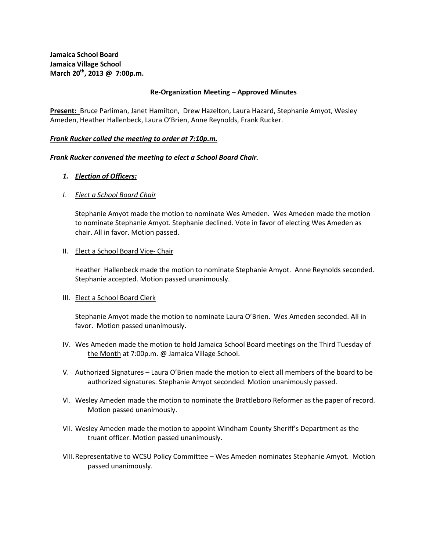**Jamaica School Board Jamaica Village School March 20th, 2013 @ 7:00p.m.**

### **Re-Organization Meeting – Approved Minutes**

**Present:** Bruce Parliman, Janet Hamilton, Drew Hazelton, Laura Hazard, Stephanie Amyot, Wesley Ameden, Heather Hallenbeck, Laura O'Brien, Anne Reynolds, Frank Rucker.

### *Frank Rucker called the meeting to order at 7:10p.m.*

### *Frank Rucker convened the meeting to elect a School Board Chair.*

### *1. Election of Officers:*

### *I. Elect a School Board Chair*

Stephanie Amyot made the motion to nominate Wes Ameden. Wes Ameden made the motion to nominate Stephanie Amyot. Stephanie declined. Vote in favor of electing Wes Ameden as chair. All in favor. Motion passed.

### II. Elect a School Board Vice- Chair

Heather Hallenbeck made the motion to nominate Stephanie Amyot. Anne Reynolds seconded. Stephanie accepted. Motion passed unanimously.

### III. Elect a School Board Clerk

Stephanie Amyot made the motion to nominate Laura O'Brien. Wes Ameden seconded. All in favor. Motion passed unanimously.

- IV. Wes Ameden made the motion to hold Jamaica School Board meetings on the Third Tuesday of the Month at 7:00p.m. @ Jamaica Village School.
- V. Authorized Signatures Laura O'Brien made the motion to elect all members of the board to be authorized signatures. Stephanie Amyot seconded. Motion unanimously passed.
- VI. Wesley Ameden made the motion to nominate the Brattleboro Reformer as the paper of record. Motion passed unanimously.
- VII. Wesley Ameden made the motion to appoint Windham County Sheriff's Department as the truant officer. Motion passed unanimously.
- VIII.Representative to WCSU Policy Committee Wes Ameden nominates Stephanie Amyot. Motion passed unanimously.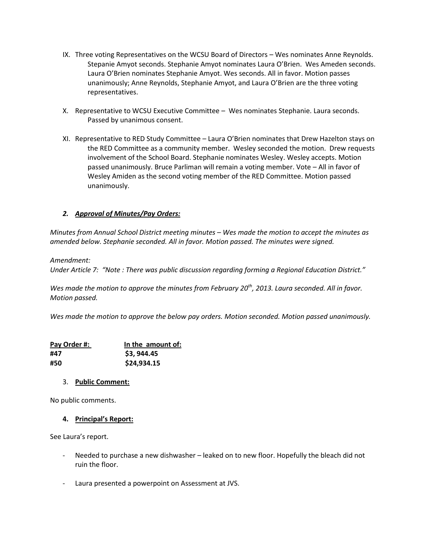- IX. Three voting Representatives on the WCSU Board of Directors Wes nominates Anne Reynolds. Stepanie Amyot seconds. Stephanie Amyot nominates Laura O'Brien. Wes Ameden seconds. Laura O'Brien nominates Stephanie Amyot. Wes seconds. All in favor. Motion passes unanimously; Anne Reynolds, Stephanie Amyot, and Laura O'Brien are the three voting representatives.
- X. Representative to WCSU Executive Committee Wes nominates Stephanie. Laura seconds. Passed by unanimous consent.
- XI. Representative to RED Study Committee Laura O'Brien nominates that Drew Hazelton stays on the RED Committee as a community member. Wesley seconded the motion. Drew requests involvement of the School Board. Stephanie nominates Wesley. Wesley accepts. Motion passed unanimously. Bruce Parliman will remain a voting member. Vote – All in favor of Wesley Amiden as the second voting member of the RED Committee. Motion passed unanimously.

# *2. Approval of Minutes/Pay Orders:*

*Minutes from Annual School District meeting minutes – Wes made the motion to accept the minutes as amended below. Stephanie seconded. All in favor. Motion passed. The minutes were signed.* 

*Amendment:*

*Under Article 7: "Note : There was public discussion regarding forming a Regional Education District."* 

*Wes made the motion to approve the minutes from February 20th, 2013. Laura seconded. All in favor. Motion passed.* 

*Wes made the motion to approve the below pay orders. Motion seconded. Motion passed unanimously.* 

| Pay Order #: | In the amount of: |
|--------------|-------------------|
| #47          | \$3,944.45        |
| #50          | \$24,934.15       |

### 3. **Public Comment:**

No public comments.

### **4. Principal's Report:**

See Laura's report.

- Needed to purchase a new dishwasher leaked on to new floor. Hopefully the bleach did not ruin the floor.
- Laura presented a powerpoint on Assessment at JVS.